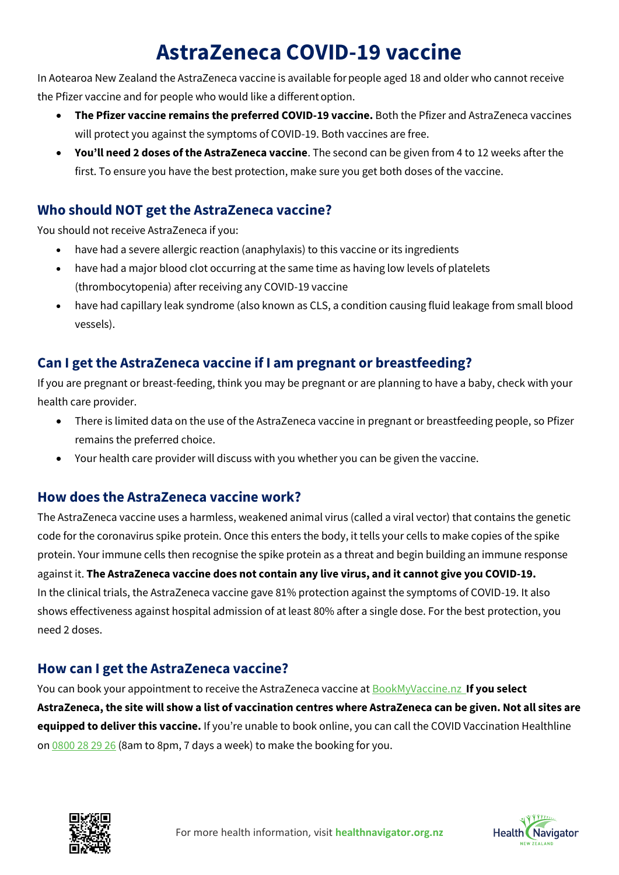# **AstraZeneca COVID-19 vaccine**

In Aotearoa New Zealand the AstraZeneca vaccine is available for people aged 18 and older who cannot receive the Pfizer vaccine and for people who would like a different option.

- **The Pfizer vaccine remains the preferred COVID-19 vaccine.** Both the Pfizer and AstraZeneca vaccines will protect you against the symptoms of COVID-19. Both vaccines are free.
- **You'll need 2 doses of the AstraZeneca vaccine**. The second can be given from 4 to 12 weeks after the first. To ensure you have the best protection, make sure you get both doses of the vaccine.

# **Who should NOT get the AstraZeneca vaccine?**

You should not receive AstraZeneca if you:

- have had a severe allergic reaction (anaphylaxis) to this vaccine or its ingredients
- have had a major blood clot occurring at the same time as having low levels of platelets (thrombocytopenia) after receiving any COVID-19 vaccine
- have had capillary leak syndrome (also known as CLS, a condition causing fluid leakage from small blood vessels).

## **Can I get the AstraZeneca vaccine if I am pregnant or breastfeeding?**

If you are pregnant or breast-feeding, think you may be pregnant or are planning to have a baby, check with your health care provider.

- There is limited data on the use of the AstraZeneca vaccine in pregnant or breastfeeding people, so Pfizer remains the preferred choice.
- Your health care provider will discuss with you whether you can be given the vaccine.

#### **How does the AstraZeneca vaccine work?**

The AstraZeneca vaccine uses a harmless, weakened animal virus (called a viral vector) that contains the genetic code for the coronavirus spike protein. Once this enters the body, it tells your cells to make copies of the spike protein. Your immune cells then recognise the spike protein as a threat and begin building an immune response against it. **The AstraZeneca vaccine does not contain any live virus, and it cannot give you COVID-19.** In the clinical trials, the AstraZeneca vaccine gave 81% protection against the symptoms of COVID-19. It also shows effectiveness against hospital admission of at least 80% after a single dose. For the best protection, you need 2 doses.

### **How can I get the AstraZeneca vaccine?**

You can book your appointment to receive the AstraZeneca vaccine at [BookMyVaccine.nz](https://bookmyvaccine.covid19.health.nz/) **If you select AstraZeneca, the site will show a list of vaccination centres where AstraZeneca can be given. Not all sites are equipped to deliver this vaccine.** If you're unable to book online, you can call the COVID Vaccination Healthline on [0800 28 29 26](tel:0800282926) (8am to 8pm, 7 days a week) to make the booking for you.